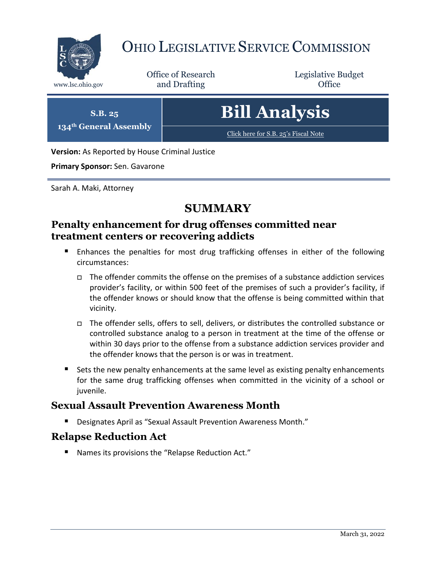

# OHIO LEGISLATIVE SERVICE COMMISSION

Office of Research www.lsc.ohio.gov **and Drafting Office** 

Legislative Budget



**Version:** As Reported by House Criminal Justice

**Primary Sponsor:** Sen. Gavarone

Sarah A. Maki, Attorney

# **SUMMARY**

### **Penalty enhancement for drug offenses committed near treatment centers or recovering addicts**

- Enhances the penalties for most drug trafficking offenses in either of the following circumstances:
	- $\Box$  The offender commits the offense on the premises of a substance addiction services provider's facility, or within 500 feet of the premises of such a provider's facility, if the offender knows or should know that the offense is being committed within that vicinity.
	- The offender sells, offers to sell, delivers, or distributes the controlled substance or controlled substance analog to a person in treatment at the time of the offense or within 30 days prior to the offense from a substance addiction services provider and the offender knows that the person is or was in treatment.
- Sets the new penalty enhancements at the same level as existing penalty enhancements for the same drug trafficking offenses when committed in the vicinity of a school or juvenile.

### **Sexual Assault Prevention Awareness Month**

■ Designates April as "Sexual Assault Prevention Awareness Month."

### **Relapse Reduction Act**

Names its provisions the "Relapse Reduction Act."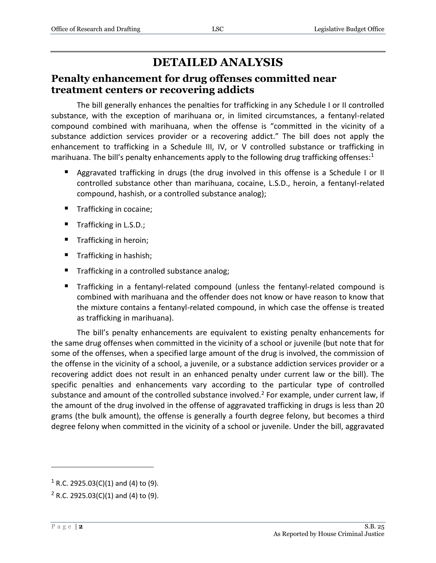# **DETAILED ANALYSIS**

#### **Penalty enhancement for drug offenses committed near treatment centers or recovering addicts**

The bill generally enhances the penalties for trafficking in any Schedule I or II controlled substance, with the exception of marihuana or, in limited circumstances, a fentanyl-related compound combined with marihuana, when the offense is "committed in the vicinity of a substance addiction services provider or a recovering addict." The bill does not apply the enhancement to trafficking in a Schedule III, IV, or V controlled substance or trafficking in marihuana. The bill's penalty enhancements apply to the following drug trafficking offenses: $1$ 

- Aggravated trafficking in drugs (the drug involved in this offense is a Schedule I or II controlled substance other than marihuana, cocaine, L.S.D., heroin, a fentanyl-related compound, hashish, or a controlled substance analog);
- Trafficking in cocaine;
- Trafficking in L.S.D.;
- Trafficking in heroin;
- Trafficking in hashish;
- Trafficking in a controlled substance analog;
- Trafficking in a fentanyl-related compound (unless the fentanyl-related compound is combined with marihuana and the offender does not know or have reason to know that the mixture contains a fentanyl-related compound, in which case the offense is treated as trafficking in marihuana).

The bill's penalty enhancements are equivalent to existing penalty enhancements for the same drug offenses when committed in the vicinity of a school or juvenile (but note that for some of the offenses, when a specified large amount of the drug is involved, the commission of the offense in the vicinity of a school, a juvenile, or a substance addiction services provider or a recovering addict does not result in an enhanced penalty under current law or the bill). The specific penalties and enhancements vary according to the particular type of controlled substance and amount of the controlled substance involved.<sup>2</sup> For example, under current law, if the amount of the drug involved in the offense of aggravated trafficking in drugs is less than 20 grams (the bulk amount), the offense is generally a fourth degree felony, but becomes a third degree felony when committed in the vicinity of a school or juvenile. Under the bill, aggravated

 $\overline{a}$ 

 $1$  R.C. 2925.03(C)(1) and (4) to (9).

 $2$  R.C. 2925.03(C)(1) and (4) to (9).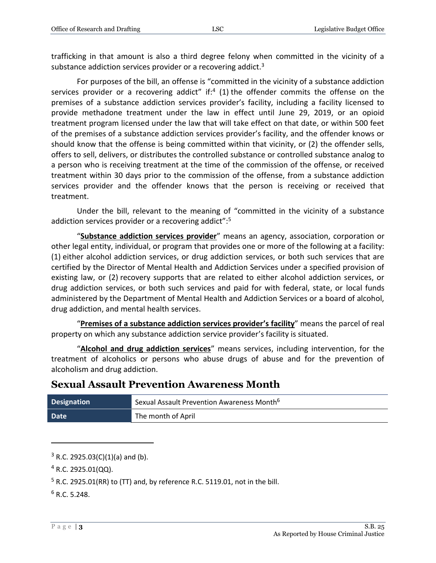trafficking in that amount is also a third degree felony when committed in the vicinity of a substance addiction services provider or a recovering addict.<sup>3</sup>

For purposes of the bill, an offense is "committed in the vicinity of a substance addiction services provider or a recovering addict" if: $4$  (1) the offender commits the offense on the premises of a substance addiction services provider's facility, including a facility licensed to provide methadone treatment under the law in effect until June 29, 2019, or an opioid treatment program licensed under the law that will take effect on that date, or within 500 feet of the premises of a substance addiction services provider's facility, and the offender knows or should know that the offense is being committed within that vicinity, or (2) the offender sells, offers to sell, delivers, or distributes the controlled substance or controlled substance analog to a person who is receiving treatment at the time of the commission of the offense, or received treatment within 30 days prior to the commission of the offense, from a substance addiction services provider and the offender knows that the person is receiving or received that treatment.

Under the bill, relevant to the meaning of "committed in the vicinity of a substance addiction services provider or a recovering addict":<sup>5</sup>

"**Substance addiction services provider**" means an agency, association, corporation or other legal entity, individual, or program that provides one or more of the following at a facility: (1) either alcohol addiction services, or drug addiction services, or both such services that are certified by the Director of Mental Health and Addiction Services under a specified provision of existing law, or (2) recovery supports that are related to either alcohol addiction services, or drug addiction services, or both such services and paid for with federal, state, or local funds administered by the Department of Mental Health and Addiction Services or a board of alcohol, drug addiction, and mental health services.

"**Premises of a substance addiction services provider's facility**" means the parcel of real property on which any substance addiction service provider's facility is situated.

"**Alcohol and drug addiction services**" means services, including intervention, for the treatment of alcoholics or persons who abuse drugs of abuse and for the prevention of alcoholism and drug addiction.

### **Sexual Assault Prevention Awareness Month**

| <b>Designation</b> | Sexual Assault Prevention Awareness Month <sup>6</sup> |
|--------------------|--------------------------------------------------------|
| Date               | The month of April                                     |

 $3$  R.C. 2925.03(C)(1)(a) and (b).

 $4$  R.C. 2925.01(QQ).

<sup>5</sup> R.C. 2925.01(RR) to (TT) and, by reference R.C. 5119.01, not in the bill.

 $6$  R.C. 5.248.

 $\overline{a}$